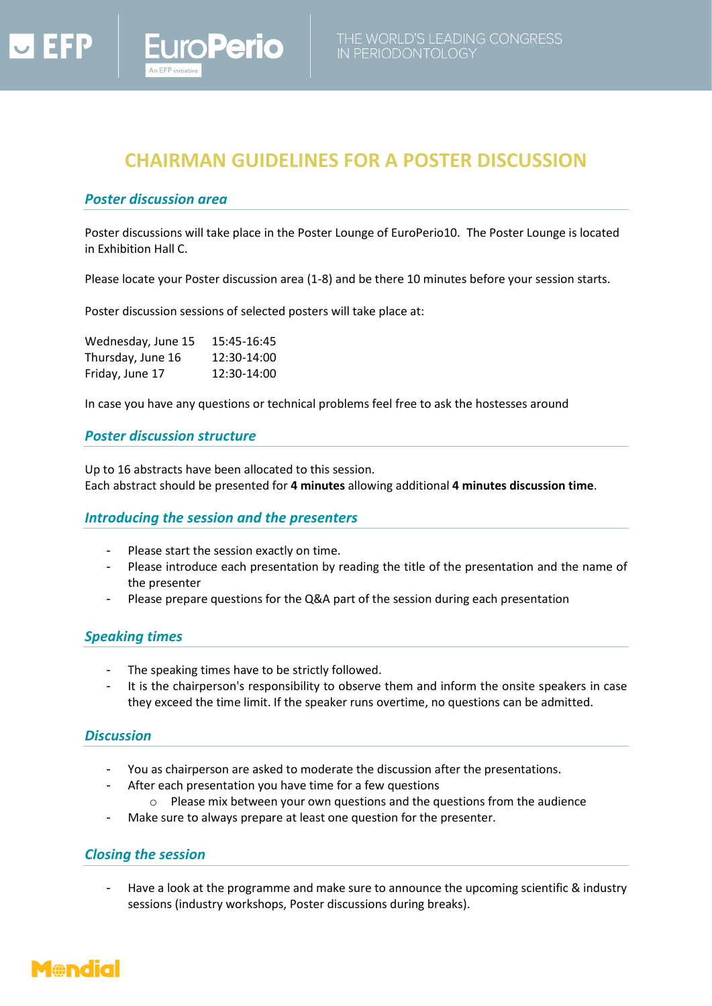

# **CHAIRMAN GUIDELINES FOR A POSTER DISCUSSION**

### *Poster discussion area*

Poster discussions will take place in the Poster Lounge of EuroPerio10. The Poster Lounge is located in Exhibition Hall C.

Please locate your Poster discussion area (1-8) and be there 10 minutes before your session starts.

Poster discussion sessions of selected posters will take place at:

**oPerio** 

| Wednesday, June 15 | 15:45-16:45 |
|--------------------|-------------|
| Thursday, June 16  | 12:30-14:00 |
| Friday, June 17    | 12:30-14:00 |

In case you have any questions or technical problems feel free to ask the hostesses around

#### *Poster discussion structure*

Up to 16 abstracts have been allocated to this session. Each abstract should be presented for **4 minutes** allowing additional **4 minutes discussion time**.

#### *Introducing the session and the presenters*

- Please start the session exactly on time.
- Please introduce each presentation by reading the title of the presentation and the name of the presenter
- Please prepare questions for the Q&A part of the session during each presentation

#### *Speaking times*

- The speaking times have to be strictly followed.
- It is the chairperson's responsibility to observe them and inform the onsite speakers in case they exceed the time limit. If the speaker runs overtime, no questions can be admitted.

#### *Discussion*

- You as chairperson are asked to moderate the discussion after the presentations.
- After each presentation you have time for a few questions
	- $\circ$  Please mix between your own questions and the questions from the audience
- Make sure to always prepare at least one question for the presenter.

#### *Closing the session*

- Have a look at the programme and make sure to announce the upcoming scientific & industry sessions (industry workshops, Poster discussions during breaks).